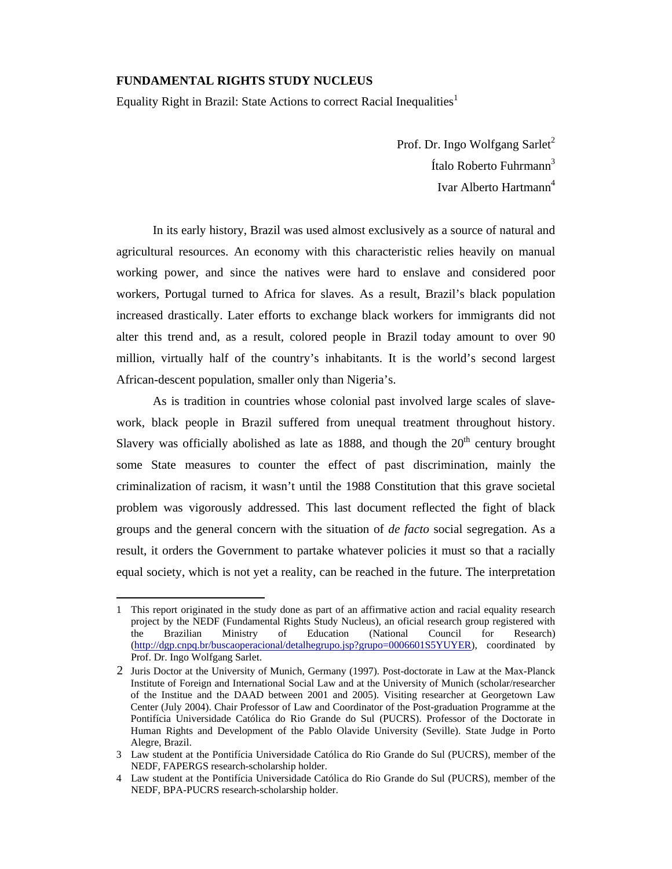## **FUNDAMENTAL RIGHTS STUDY NUCLEUS**

Equality Right in Brazil: State Actions to correct Racial Inequalities<sup>1</sup>

Prof. Dr. Ingo Wolfgang Sarlet<sup>2</sup> Ítalo Roberto Fuhrmann<sup>3</sup> Ivar Alberto Hartmann<sup>4</sup>

In its early history, Brazil was used almost exclusively as a source of natural and agricultural resources. An economy with this characteristic relies heavily on manual working power, and since the natives were hard to enslave and considered poor workers, Portugal turned to Africa for slaves. As a result, Brazil's black population increased drastically. Later efforts to exchange black workers for immigrants did not alter this trend and, as a result, colored people in Brazil today amount to over 90 million, virtually half of the country's inhabitants. It is the world's second largest African-descent population, smaller only than Nigeria's.

As is tradition in countries whose colonial past involved large scales of slavework, black people in Brazil suffered from unequal treatment throughout history. Slavery was officially abolished as late as 1888, and though the  $20<sup>th</sup>$  century brought some State measures to counter the effect of past discrimination, mainly the criminalization of racism, it wasn't until the 1988 Constitution that this grave societal problem was vigorously addressed. This last document reflected the fight of black groups and the general concern with the situation of *de facto* social segregation. As a result, it orders the Government to partake whatever policies it must so that a racially equal society, which is not yet a reality, can be reached in the future. The interpretation

<sup>1</sup> This report originated in the study done as part of an affirmative action and racial equality research project by the NEDF (Fundamental Rights Study Nucleus), an oficial research group registered with the Brazilian Ministry of Education (National Council for Research) (http://dgp.cnpq.br/buscaoperacional/detalhegrupo.jsp?grupo=0006601S5YUYER), coordinated by Prof. Dr. Ingo Wolfgang Sarlet.

<sup>2</sup> Juris Doctor at the University of Munich, Germany (1997). Post-doctorate in Law at the Max-Planck Institute of Foreign and International Social Law and at the University of Munich (scholar/researcher of the Institue and the DAAD between 2001 and 2005). Visiting researcher at Georgetown Law Center (July 2004). Chair Professor of Law and Coordinator of the Post-graduation Programme at the Pontifícia Universidade Católica do Rio Grande do Sul (PUCRS). Professor of the Doctorate in Human Rights and Development of the Pablo Olavide University (Seville). State Judge in Porto Alegre, Brazil.

<sup>3</sup> Law student at the Pontifícia Universidade Católica do Rio Grande do Sul (PUCRS), member of the NEDF, FAPERGS research-scholarship holder.

<sup>4</sup> Law student at the Pontifícia Universidade Católica do Rio Grande do Sul (PUCRS), member of the NEDF, BPA-PUCRS research-scholarship holder.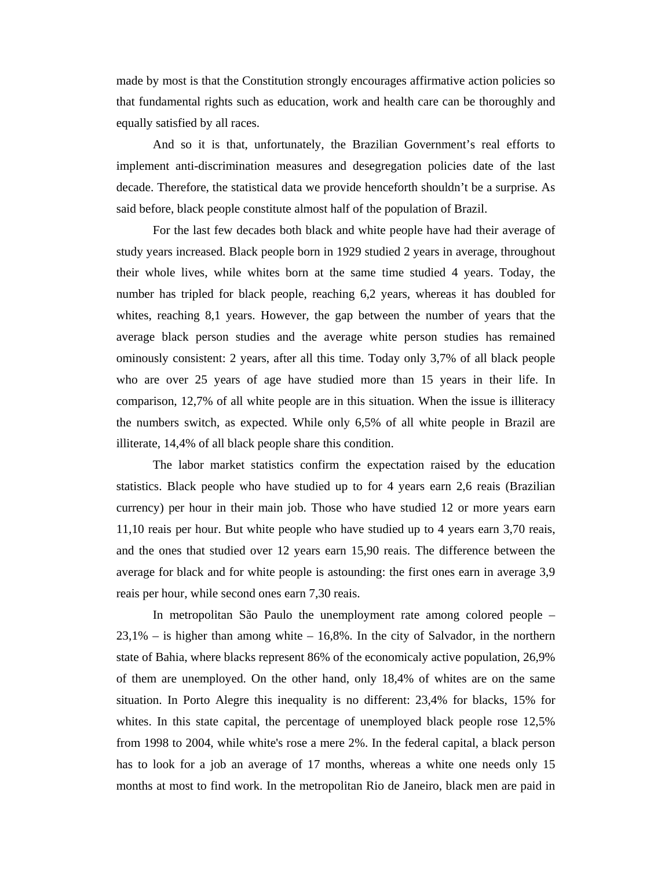made by most is that the Constitution strongly encourages affirmative action policies so that fundamental rights such as education, work and health care can be thoroughly and equally satisfied by all races.

And so it is that, unfortunately, the Brazilian Government's real efforts to implement anti-discrimination measures and desegregation policies date of the last decade. Therefore, the statistical data we provide henceforth shouldn't be a surprise. As said before, black people constitute almost half of the population of Brazil.

For the last few decades both black and white people have had their average of study years increased. Black people born in 1929 studied 2 years in average, throughout their whole lives, while whites born at the same time studied 4 years. Today, the number has tripled for black people, reaching 6,2 years, whereas it has doubled for whites, reaching 8,1 years. However, the gap between the number of years that the average black person studies and the average white person studies has remained ominously consistent: 2 years, after all this time. Today only 3,7% of all black people who are over 25 years of age have studied more than 15 years in their life. In comparison, 12,7% of all white people are in this situation. When the issue is illiteracy the numbers switch, as expected. While only 6,5% of all white people in Brazil are illiterate, 14,4% of all black people share this condition.

The labor market statistics confirm the expectation raised by the education statistics. Black people who have studied up to for 4 years earn 2,6 reais (Brazilian currency) per hour in their main job. Those who have studied 12 or more years earn 11,10 reais per hour. But white people who have studied up to 4 years earn 3,70 reais, and the ones that studied over 12 years earn 15,90 reais. The difference between the average for black and for white people is astounding: the first ones earn in average 3,9 reais per hour, while second ones earn 7,30 reais.

 In metropolitan São Paulo the unemployment rate among colored people –  $23.1\%$  – is higher than among white – 16,8%. In the city of Salvador, in the northern state of Bahia, where blacks represent 86% of the economicaly active population, 26,9% of them are unemployed. On the other hand, only 18,4% of whites are on the same situation. In Porto Alegre this inequality is no different: 23,4% for blacks, 15% for whites. In this state capital, the percentage of unemployed black people rose  $12,5\%$ from 1998 to 2004, while white's rose a mere 2%. In the federal capital, a black person has to look for a job an average of 17 months, whereas a white one needs only 15 months at most to find work. In the metropolitan Rio de Janeiro, black men are paid in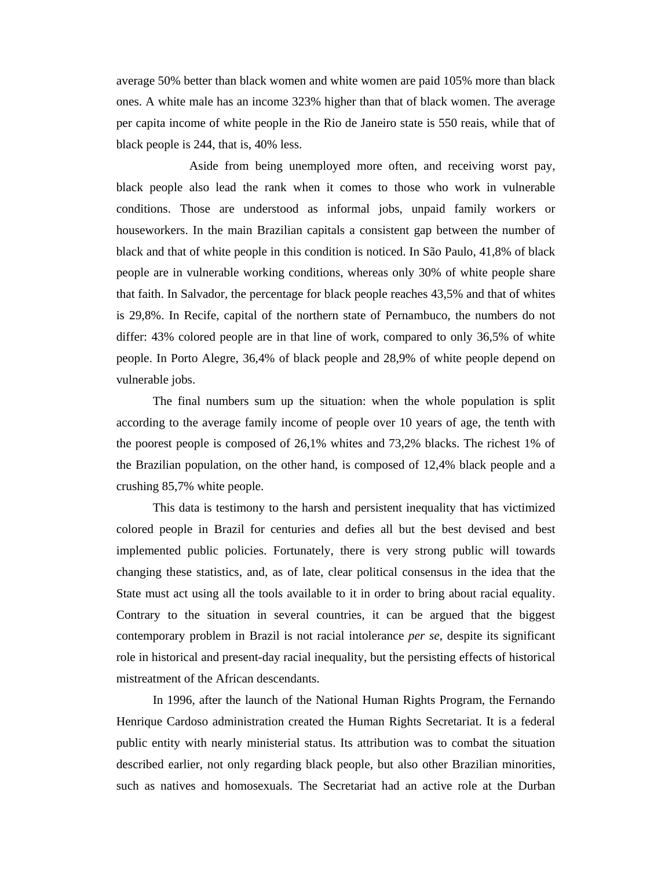average 50% better than black women and white women are paid 105% more than black ones. A white male has an income 323% higher than that of black women. The average per capita income of white people in the Rio de Janeiro state is 550 reais, while that of black people is 244, that is, 40% less.

 Aside from being unemployed more often, and receiving worst pay, black people also lead the rank when it comes to those who work in vulnerable conditions. Those are understood as informal jobs, unpaid family workers or houseworkers. In the main Brazilian capitals a consistent gap between the number of black and that of white people in this condition is noticed. In São Paulo, 41,8% of black people are in vulnerable working conditions, whereas only 30% of white people share that faith. In Salvador, the percentage for black people reaches 43,5% and that of whites is 29,8%. In Recife, capital of the northern state of Pernambuco, the numbers do not differ: 43% colored people are in that line of work, compared to only 36,5% of white people. In Porto Alegre, 36,4% of black people and 28,9% of white people depend on vulnerable jobs.

The final numbers sum up the situation: when the whole population is split according to the average family income of people over 10 years of age, the tenth with the poorest people is composed of 26,1% whites and 73,2% blacks. The richest 1% of the Brazilian population, on the other hand, is composed of 12,4% black people and a crushing 85,7% white people.

This data is testimony to the harsh and persistent inequality that has victimized colored people in Brazil for centuries and defies all but the best devised and best implemented public policies. Fortunately, there is very strong public will towards changing these statistics, and, as of late, clear political consensus in the idea that the State must act using all the tools available to it in order to bring about racial equality. Contrary to the situation in several countries, it can be argued that the biggest contemporary problem in Brazil is not racial intolerance *per se*, despite its significant role in historical and present-day racial inequality, but the persisting effects of historical mistreatment of the African descendants.

In 1996, after the launch of the National Human Rights Program, the Fernando Henrique Cardoso administration created the Human Rights Secretariat. It is a federal public entity with nearly ministerial status. Its attribution was to combat the situation described earlier, not only regarding black people, but also other Brazilian minorities, such as natives and homosexuals. The Secretariat had an active role at the Durban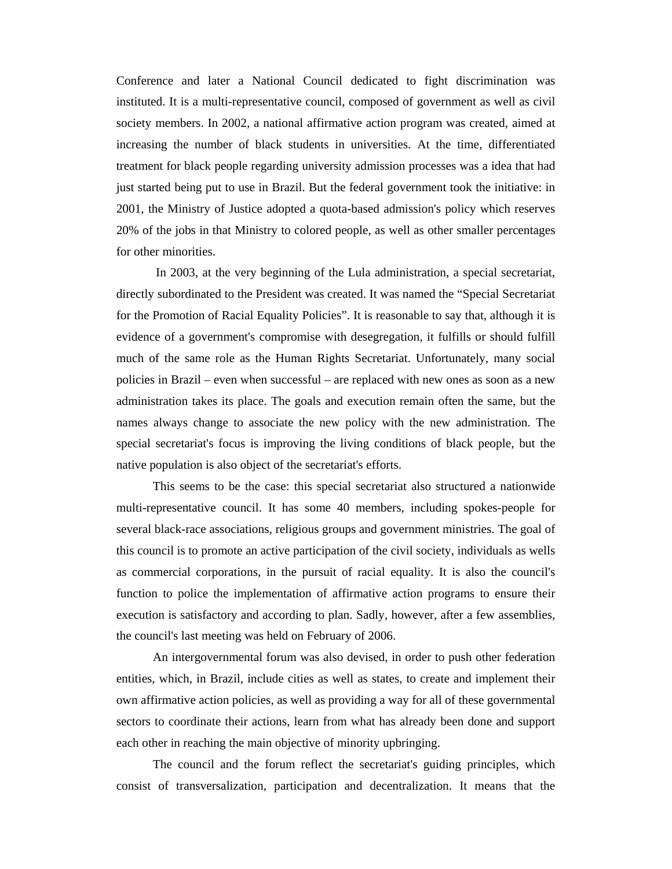Conference and later a National Council dedicated to fight discrimination was instituted. It is a multi-representative council, composed of government as well as civil society members. In 2002, a national affirmative action program was created, aimed at increasing the number of black students in universities. At the time, differentiated treatment for black people regarding university admission processes was a idea that had just started being put to use in Brazil. But the federal government took the initiative: in 2001, the Ministry of Justice adopted a quota-based admission's policy which reserves 20% of the jobs in that Ministry to colored people, as well as other smaller percentages for other minorities.

 In 2003, at the very beginning of the Lula administration, a special secretariat, directly subordinated to the President was created. It was named the "Special Secretariat for the Promotion of Racial Equality Policies". It is reasonable to say that, although it is evidence of a government's compromise with desegregation, it fulfills or should fulfill much of the same role as the Human Rights Secretariat. Unfortunately, many social policies in Brazil – even when successful – are replaced with new ones as soon as a new administration takes its place. The goals and execution remain often the same, but the names always change to associate the new policy with the new administration. The special secretariat's focus is improving the living conditions of black people, but the native population is also object of the secretariat's efforts.

This seems to be the case: this special secretariat also structured a nationwide multi-representative council. It has some 40 members, including spokes-people for several black-race associations, religious groups and government ministries. The goal of this council is to promote an active participation of the civil society, individuals as wells as commercial corporations, in the pursuit of racial equality. It is also the council's function to police the implementation of affirmative action programs to ensure their execution is satisfactory and according to plan. Sadly, however, after a few assemblies, the council's last meeting was held on February of 2006.

An intergovernmental forum was also devised, in order to push other federation entities, which, in Brazil, include cities as well as states, to create and implement their own affirmative action policies, as well as providing a way for all of these governmental sectors to coordinate their actions, learn from what has already been done and support each other in reaching the main objective of minority upbringing.

 The council and the forum reflect the secretariat's guiding principles, which consist of transversalization, participation and decentralization. It means that the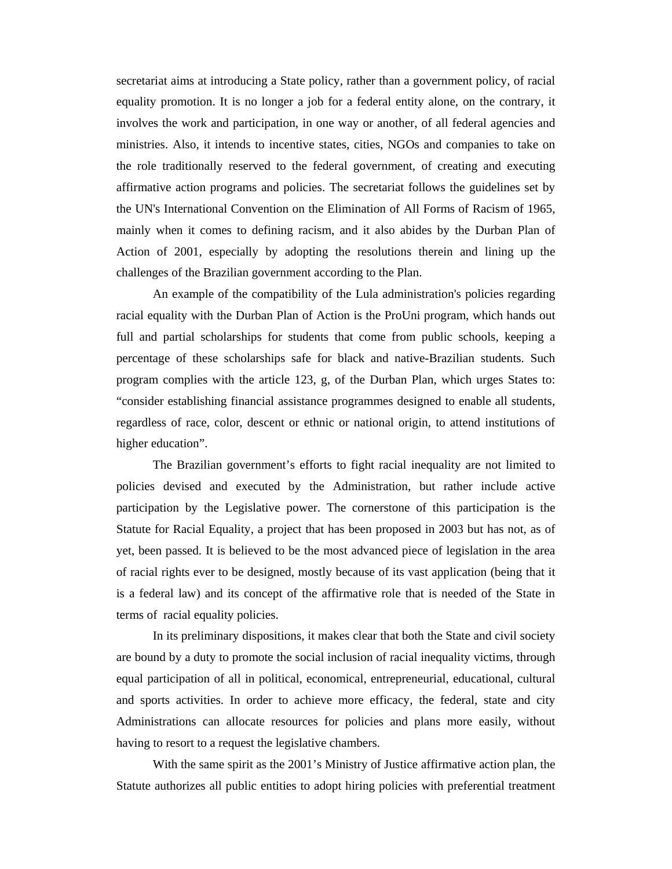secretariat aims at introducing a State policy, rather than a government policy, of racial equality promotion. It is no longer a job for a federal entity alone, on the contrary, it involves the work and participation, in one way or another, of all federal agencies and ministries. Also, it intends to incentive states, cities, NGOs and companies to take on the role traditionally reserved to the federal government, of creating and executing affirmative action programs and policies. The secretariat follows the guidelines set by the UN's International Convention on the Elimination of All Forms of Racism of 1965, mainly when it comes to defining racism, and it also abides by the Durban Plan of Action of 2001, especially by adopting the resolutions therein and lining up the challenges of the Brazilian government according to the Plan.

 An example of the compatibility of the Lula administration's policies regarding racial equality with the Durban Plan of Action is the ProUni program, which hands out full and partial scholarships for students that come from public schools, keeping a percentage of these scholarships safe for black and native-Brazilian students. Such program complies with the article 123, g, of the Durban Plan, which urges States to: "consider establishing financial assistance programmes designed to enable all students, regardless of race, color, descent or ethnic or national origin, to attend institutions of higher education".

The Brazilian government's efforts to fight racial inequality are not limited to policies devised and executed by the Administration, but rather include active participation by the Legislative power. The cornerstone of this participation is the Statute for Racial Equality, a project that has been proposed in 2003 but has not, as of yet, been passed. It is believed to be the most advanced piece of legislation in the area of racial rights ever to be designed, mostly because of its vast application (being that it is a federal law) and its concept of the affirmative role that is needed of the State in terms of racial equality policies.

In its preliminary dispositions, it makes clear that both the State and civil society are bound by a duty to promote the social inclusion of racial inequality victims, through equal participation of all in political, economical, entrepreneurial, educational, cultural and sports activities. In order to achieve more efficacy, the federal, state and city Administrations can allocate resources for policies and plans more easily, without having to resort to a request the legislative chambers.

With the same spirit as the 2001's Ministry of Justice affirmative action plan, the Statute authorizes all public entities to adopt hiring policies with preferential treatment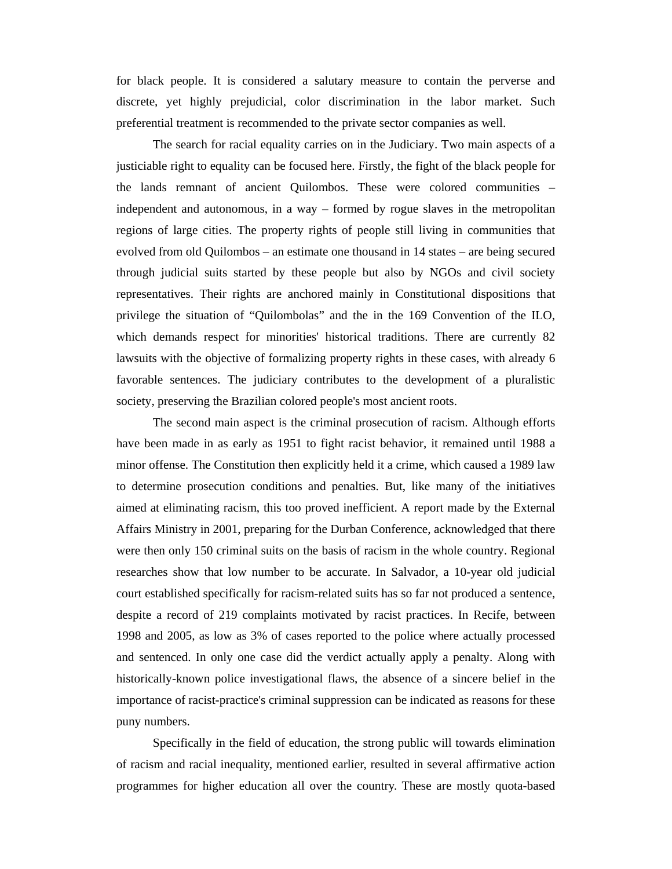for black people. It is considered a salutary measure to contain the perverse and discrete, yet highly prejudicial, color discrimination in the labor market. Such preferential treatment is recommended to the private sector companies as well.

The search for racial equality carries on in the Judiciary. Two main aspects of a justiciable right to equality can be focused here. Firstly, the fight of the black people for the lands remnant of ancient Quilombos. These were colored communities – independent and autonomous, in a way – formed by rogue slaves in the metropolitan regions of large cities. The property rights of people still living in communities that evolved from old Quilombos – an estimate one thousand in 14 states – are being secured through judicial suits started by these people but also by NGOs and civil society representatives. Their rights are anchored mainly in Constitutional dispositions that privilege the situation of "Quilombolas" and the in the 169 Convention of the ILO, which demands respect for minorities' historical traditions. There are currently 82 lawsuits with the objective of formalizing property rights in these cases, with already 6 favorable sentences. The judiciary contributes to the development of a pluralistic society, preserving the Brazilian colored people's most ancient roots.

The second main aspect is the criminal prosecution of racism. Although efforts have been made in as early as 1951 to fight racist behavior, it remained until 1988 a minor offense. The Constitution then explicitly held it a crime, which caused a 1989 law to determine prosecution conditions and penalties. But, like many of the initiatives aimed at eliminating racism, this too proved inefficient. A report made by the External Affairs Ministry in 2001, preparing for the Durban Conference, acknowledged that there were then only 150 criminal suits on the basis of racism in the whole country. Regional researches show that low number to be accurate. In Salvador, a 10-year old judicial court established specifically for racism-related suits has so far not produced a sentence, despite a record of 219 complaints motivated by racist practices. In Recife, between 1998 and 2005, as low as 3% of cases reported to the police where actually processed and sentenced. In only one case did the verdict actually apply a penalty. Along with historically-known police investigational flaws, the absence of a sincere belief in the importance of racist-practice's criminal suppression can be indicated as reasons for these puny numbers.

Specifically in the field of education, the strong public will towards elimination of racism and racial inequality, mentioned earlier, resulted in several affirmative action programmes for higher education all over the country. These are mostly quota-based